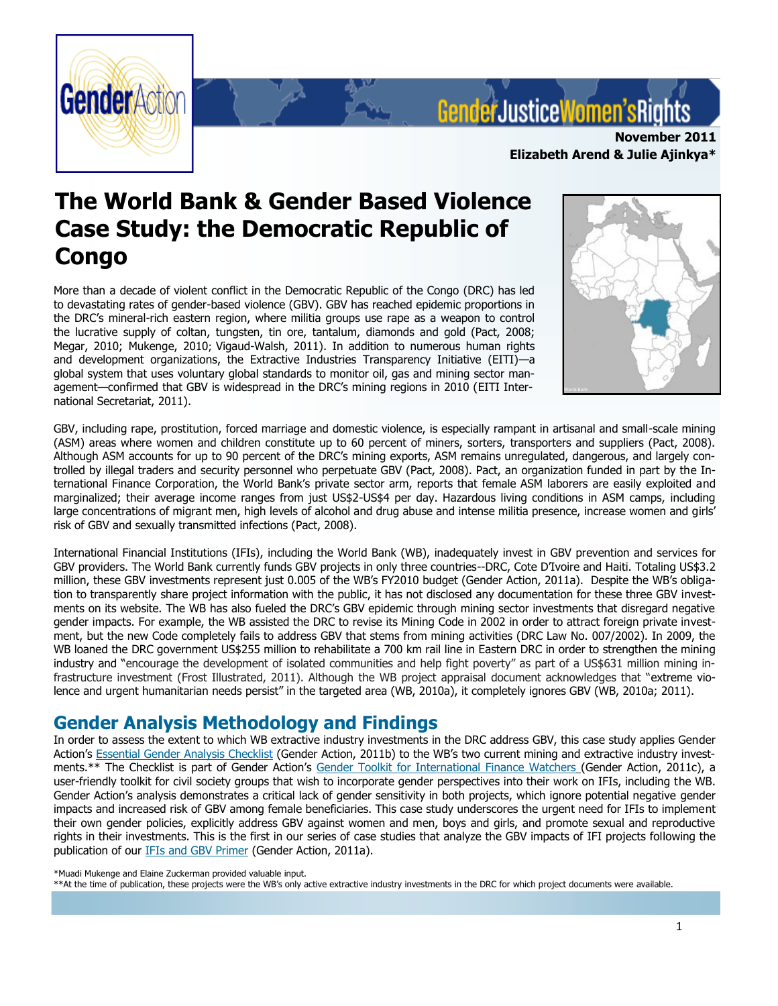

# Gender Justice Women's Rig

**November 2011 Elizabeth Arend & Julie Ajinkya\*** 

## **The World Bank & Gender Based Violence Case Study: the Democratic Republic of Congo**

More than a decade of violent conflict in the Democratic Republic of the Congo (DRC) has led to devastating rates of gender-based violence (GBV). GBV has reached epidemic proportions in the DRC"s mineral-rich eastern region, where militia groups use rape as a weapon to control the lucrative supply of coltan, tungsten, tin ore, tantalum, diamonds and gold (Pact, 2008; Megar, 2010; Mukenge, 2010; Vigaud-Walsh, 2011). In addition to numerous human rights and development organizations, the Extractive Industries Transparency Initiative (EITI)—a global system that uses voluntary global standards to monitor oil, gas and mining sector management—confirmed that GBV is widespread in the DRC"s mining regions in 2010 (EITI International Secretariat, 2011).



GBV, including rape, prostitution, forced marriage and domestic violence, is especially rampant in artisanal and small-scale mining (ASM) areas where women and children constitute up to 60 percent of miners, sorters, transporters and suppliers (Pact, 2008). Although ASM accounts for up to 90 percent of the DRC"s mining exports, ASM remains unregulated, dangerous, and largely controlled by illegal traders and security personnel who perpetuate GBV (Pact, 2008). Pact, an organization funded in part by the International Finance Corporation, the World Bank"s private sector arm, reports that female ASM laborers are easily exploited and marginalized; their average income ranges from just US\$2-US\$4 per day. Hazardous living conditions in ASM camps, including large concentrations of migrant men, high levels of alcohol and drug abuse and intense militia presence, increase women and girls' risk of GBV and sexually transmitted infections (Pact, 2008).

International Financial Institutions (IFIs), including the World Bank (WB), inadequately invest in GBV prevention and services for GBV providers. The World Bank currently funds GBV projects in only three countries--DRC, Cote D"Ivoire and Haiti. Totaling US\$3.2 million, these GBV investments represent just 0.005 of the WB"s FY2010 budget (Gender Action, 2011a). Despite the WB"s obligation to transparently share project information with the public, it has not disclosed any documentation for these three GBV investments on its website. The WB has also fueled the DRC"s GBV epidemic through mining sector investments that disregard negative gender impacts. For example, the WB assisted the DRC to revise its Mining Code in 2002 in order to attract foreign private investment, but the new Code completely fails to address GBV that stems from mining activities (DRC Law No. 007/2002). In 2009, the WB loaned the DRC government US\$255 million to rehabilitate a 700 km rail line in Eastern DRC in order to strengthen the mining industry and "encourage the development of isolated communities and help fight poverty" as part of a US\$631 million mining infrastructure investment (Frost Illustrated, 2011). Although the WB project appraisal document acknowledges that "extreme violence and urgent humanitarian needs persist" in the targeted area (WB, 2010a), it completely ignores GBV (WB, 2010a; 2011).

## **Gender Analysis Methodology and Findings**

In order to assess the extent to which WB extractive industry investments in the DRC address GBV, this case study applies Gender Action's Essential Gender Analysis Checklist (Gender Action, 2011b) to the WB's two current mining and extractive industry investments.\*\* The Checklist is part of Gender Action"s Gender Toolkit for International Finance Watchers (Gender Action, 2011c), a user-friendly toolkit for civil society groups that wish to incorporate gender perspectives into their work on IFIs, including the WB. Gender Action's analysis demonstrates a critical lack of gender sensitivity in both projects, which ignore potential negative gender impacts and increased risk of GBV among female beneficiaries. This case study underscores the urgent need for IFIs to implement their own gender policies, explicitly address GBV against women and men, boys and girls, and promote sexual and reproductive rights in their investments. This is the first in our series of case studies that analyze the GBV impacts of IFI projects following the publication of our IFIs and GBV Primer (Gender Action, 2011a).

<sup>\*</sup>Muadi Mukenge and Elaine Zuckerman provided valuable input.

<sup>\*\*</sup>At the time of publication, these projects were the WB"s only active extractive industry investments in the DRC for which project documents were available.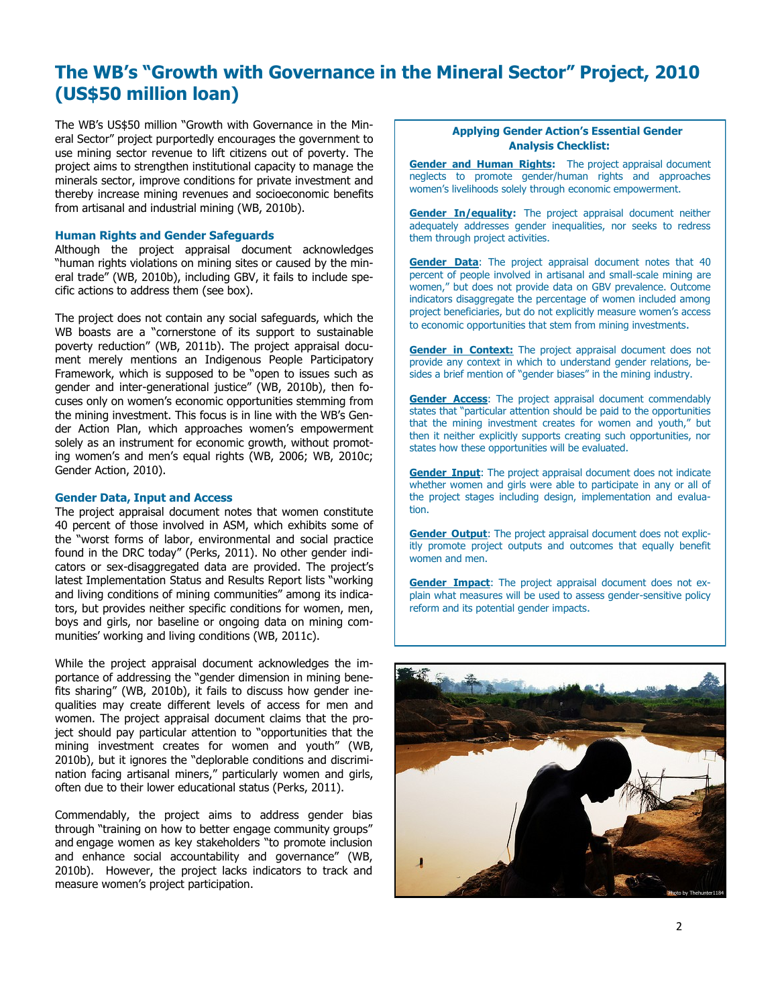## **The WB"s "Growth with Governance in the Mineral Sector" Project, 2010 (US\$50 million loan)**

The WB"s US\$50 million "Growth with Governance in the Mineral Sector" project purportedly encourages the government to use mining sector revenue to lift citizens out of poverty. The project aims to strengthen institutional capacity to manage the minerals sector, improve conditions for private investment and thereby increase mining revenues and socioeconomic benefits from artisanal and industrial mining (WB, 2010b).

#### **Human Rights and Gender Safeguards**

Although the project appraisal document acknowledges "human rights violations on mining sites or caused by the mineral trade" (WB, 2010b), including GBV, it fails to include specific actions to address them (see box).

solely as an instrument for economic growth, without promot-The project does not contain any social safeguards, which the WB boasts are a "cornerstone of its support to sustainable poverty reduction" (WB, 2011b). The project appraisal document merely mentions an Indigenous People Participatory Framework, which is supposed to be "open to issues such as gender and inter-generational justice" (WB, 2010b), then focuses only on women"s economic opportunities stemming from the mining investment. This focus is in line with the WB"s Gender Action Plan, which approaches women"s empowerment ing women's and men's equal rights (WB, 2006; WB, 2010c; Gender Action, 2010).

#### **Gender Data, Input and Access**

The project appraisal document notes that women constitute 40 percent of those involved in ASM, which exhibits some of the "worst forms of labor, environmental and social practice found in the DRC today" (Perks, 2011). No other gender indicators or sex-disaggregated data are provided. The project"s latest Implementation Status and Results Report lists "working and living conditions of mining communities" among its indicators, but provides neither specific conditions for women, men, boys and girls, nor baseline or ongoing data on mining communities' working and living conditions (WB, 2011c).

While the project appraisal document acknowledges the importance of addressing the "gender dimension in mining benefits sharing" (WB, 2010b), it fails to discuss how gender inequalities may create different levels of access for men and women. The project appraisal document claims that the project should pay particular attention to "opportunities that the mining investment creates for women and youth" (WB, 2010b), but it ignores the "deplorable conditions and discrimination facing artisanal miners," particularly women and girls, often due to their lower educational status (Perks, 2011).

Commendably, the project aims to address gender bias through "training on how to better engage community groups" and engage women as key stakeholders "to promote inclusion and enhance social accountability and governance" (WB, 2010b). However, the project lacks indicators to track and measure women"s project participation.

#### **Applying Gender Action"s Essential Gender Analysis Checklist:**

**Gender and Human Rights:** The project appraisal document neglects to promote gender/human rights and approaches women"s livelihoods solely through economic empowerment.

**Gender In/equality:** The project appraisal document neither adequately addresses gender inequalities, nor seeks to redress them through project activities.

**Gender Data**: The project appraisal document notes that 40 percent of people involved in artisanal and small-scale mining are women," but does not provide data on GBV prevalence. Outcome indicators disaggregate the percentage of women included among project beneficiaries, but do not explicitly measure women's access to economic opportunities that stem from mining investments.

**Gender in Context:** The project appraisal document does not provide any context in which to understand gender relations, besides a brief mention of "gender biases" in the mining industry.

**Gender Access**: The project appraisal document commendably states that "particular attention should be paid to the opportunities that the mining investment creates for women and youth," but then it neither explicitly supports creating such opportunities, nor states how these opportunities will be evaluated.

**Gender Input:** The project appraisal document does not indicate whether women and girls were able to participate in any or all of the project stages including design, implementation and evaluation.

**Gender Output**: The project appraisal document does not explicitly promote project outputs and outcomes that equally benefit women and men.

**Gender Impact**: The project appraisal document does not explain what measures will be used to assess gender-sensitive policy reform and its potential gender impacts.

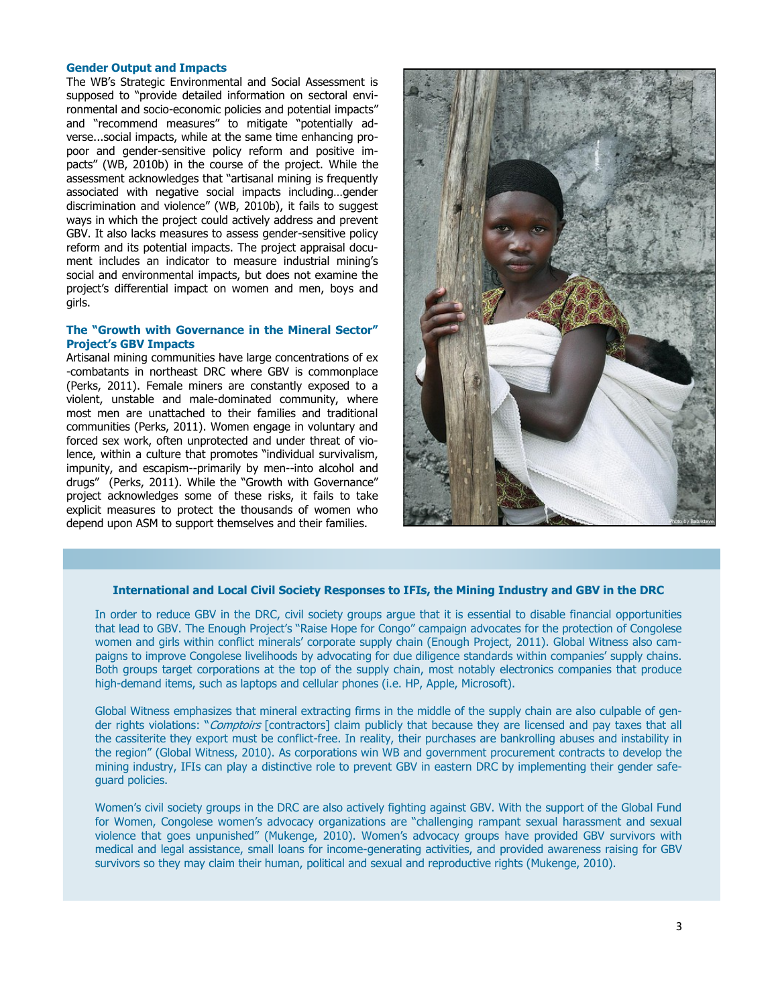#### **Gender Output and Impacts**

The WB"s Strategic Environmental and Social Assessment is supposed to "provide detailed information on sectoral environmental and socio-economic policies and potential impacts" and "recommend measures" to mitigate "potentially adverse...social impacts, while at the same time enhancing propoor and gender-sensitive policy reform and positive impacts" (WB, 2010b) in the course of the project. While the assessment acknowledges that "artisanal mining is frequently associated with negative social impacts including…gender discrimination and violence" (WB, 2010b), it fails to suggest ways in which the project could actively address and prevent GBV. It also lacks measures to assess gender-sensitive policy reform and its potential impacts. The project appraisal document includes an indicator to measure industrial mining's social and environmental impacts, but does not examine the project"s differential impact on women and men, boys and girls.

#### **The "Growth with Governance in the Mineral Sector" Project"s GBV Impacts**

Artisanal mining communities have large concentrations of ex -combatants in northeast DRC where GBV is commonplace (Perks, 2011). Female miners are constantly exposed to a violent, unstable and male-dominated community, where most men are unattached to their families and traditional communities (Perks, 2011). Women engage in voluntary and forced sex work, often unprotected and under threat of violence, within a culture that promotes "individual survivalism, impunity, and escapism--primarily by men--into alcohol and drugs" (Perks, 2011). While the "Growth with Governance" project acknowledges some of these risks, it fails to take explicit measures to protect the thousands of women who depend upon ASM to support themselves and their families.



#### **International and Local Civil Society Responses to IFIs, the Mining Industry and GBV in the DRC**

In order to reduce GBV in the DRC, civil society groups argue that it is essential to disable financial opportunities that lead to GBV. The Enough Project's "Raise Hope for Congo" campaign advocates for the protection of Congolese women and girls within conflict minerals" corporate supply chain (Enough Project, 2011). Global Witness also campaigns to improve Congolese livelihoods by advocating for due diligence standards within companies" supply chains. Both groups target corporations at the top of the supply chain, most notably electronics companies that produce high-demand items, such as laptops and cellular phones (i.e. HP, Apple, Microsoft).

Global Witness emphasizes that mineral extracting firms in the middle of the supply chain are also culpable of gender rights violations: "Comptoirs [contractors] claim publicly that because they are licensed and pay taxes that all the cassiterite they export must be conflict-free. In reality, their purchases are bankrolling abuses and instability in the region" (Global Witness, 2010). As corporations win WB and government procurement contracts to develop the mining industry, IFIs can play a distinctive role to prevent GBV in eastern DRC by implementing their gender safeguard policies.

Women"s civil society groups in the DRC are also actively fighting against GBV. With the support of the Global Fund for Women, Congolese women"s advocacy organizations are "challenging rampant sexual harassment and sexual violence that goes unpunished" (Mukenge, 2010). Women"s advocacy groups have provided GBV survivors with medical and legal assistance, small loans for income-generating activities, and provided awareness raising for GBV survivors so they may claim their human, political and sexual and reproductive rights (Mukenge, 2010).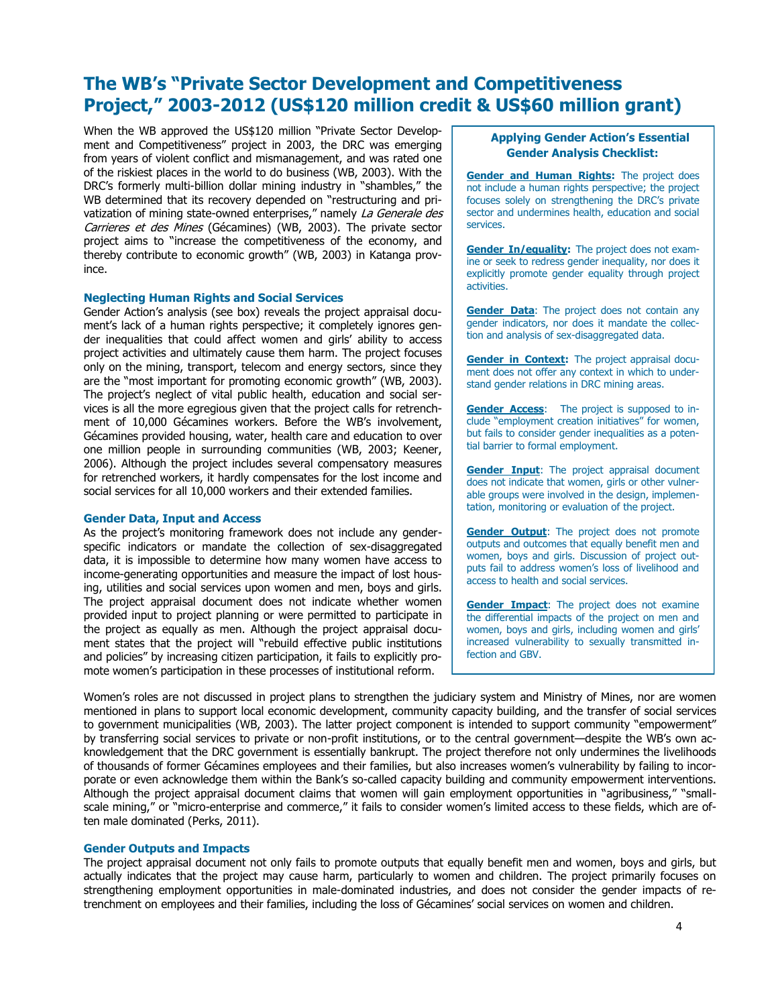### **The WB"s "Private Sector Development and Competitiveness Project," 2003-2012 (US\$120 million credit & US\$60 million grant)**

When the WB approved the US\$120 million "Private Sector Development and Competitiveness" project in 2003, the DRC was emerging from years of violent conflict and mismanagement, and was rated one of the riskiest places in the world to do business (WB, 2003). With the DRC"s formerly multi-billion dollar mining industry in "shambles," the WB determined that its recovery depended on "restructuring and privatization of mining state-owned enterprises," namely La Generale des Carrieres et des Mines (Gécamines) (WB, 2003). The private sector project aims to "increase the competitiveness of the economy, and thereby contribute to economic growth" (WB, 2003) in Katanga province.

#### **Neglecting Human Rights and Social Services**

Gender Action"s analysis (see box) reveals the project appraisal document"s lack of a human rights perspective; it completely ignores gender inequalities that could affect women and girls' ability to access project activities and ultimately cause them harm. The project focuses only on the mining, transport, telecom and energy sectors, since they are the "most important for promoting economic growth" (WB, 2003). The project's neglect of vital public health, education and social services is all the more egregious given that the project calls for retrenchment of 10,000 Gécamines workers. Before the WB"s involvement, Gécamines provided housing, water, health care and education to over one million people in surrounding communities (WB, 2003; Keener, 2006). Although the project includes several compensatory measures for retrenched workers, it hardly compensates for the lost income and social services for all 10,000 workers and their extended families.

#### **Gender Data, Input and Access**

As the project's monitoring framework does not include any genderspecific indicators or mandate the collection of sex-disaggregated data, it is impossible to determine how many women have access to income-generating opportunities and measure the impact of lost housing, utilities and social services upon women and men, boys and girls. The project appraisal document does not indicate whether women provided input to project planning or were permitted to participate in the project as equally as men. Although the project appraisal document states that the project will "rebuild effective public institutions and policies" by increasing citizen participation, it fails to explicitly promote women"s participation in these processes of institutional reform.

#### **Applying Gender Action"s Essential Gender Analysis Checklist:**

**Gender and Human Rights:** The project does not include a human rights perspective; the project focuses solely on strengthening the DRC"s private sector and undermines health, education and social services.

**Gender In/equality:** The project does not examine or seek to redress gender inequality, nor does it explicitly promote gender equality through project activities.

**Gender Data:** The project does not contain any gender indicators, nor does it mandate the collection and analysis of sex-disaggregated data.

**Gender in Context:** The project appraisal document does not offer any context in which to understand gender relations in DRC mining areas.

**Gender Access:** The project is supposed to include "employment creation initiatives" for women, but fails to consider gender inequalities as a potential barrier to formal employment.

**Gender Input**: The project appraisal document does not indicate that women, girls or other vulnerable groups were involved in the design, implementation, monitoring or evaluation of the project.

**Gender Output:** The project does not promote outputs and outcomes that equally benefit men and women, boys and girls. Discussion of project outputs fail to address women"s loss of livelihood and access to health and social services.

**Gender Impact:** The project does not examine the differential impacts of the project on men and women, boys and girls, including women and girls' increased vulnerability to sexually transmitted infection and GBV.

Women"s roles are not discussed in project plans to strengthen the judiciary system and Ministry of Mines, nor are women mentioned in plans to support local economic development, community capacity building, and the transfer of social services to government municipalities (WB, 2003). The latter project component is intended to support community "empowerment" by transferring social services to private or non-profit institutions, or to the central government—despite the WB"s own acknowledgement that the DRC government is essentially bankrupt. The project therefore not only undermines the livelihoods of thousands of former Gécamines employees and their families, but also increases women"s vulnerability by failing to incorporate or even acknowledge them within the Bank's so-called capacity building and community empowerment interventions. Although the project appraisal document claims that women will gain employment opportunities in "agribusiness," "smallscale mining," or "micro-enterprise and commerce," it fails to consider women"s limited access to these fields, which are often male dominated (Perks, 2011).

#### **Gender Outputs and Impacts**

trenchment on employees and their families, including the loss of Gécamines' social services on women and children. The project appraisal document not only fails to promote outputs that equally benefit men and women, boys and girls, but actually indicates that the project may cause harm, particularly to women and children. The project primarily focuses on strengthening employment opportunities in male-dominated industries, and does not consider the gender impacts of re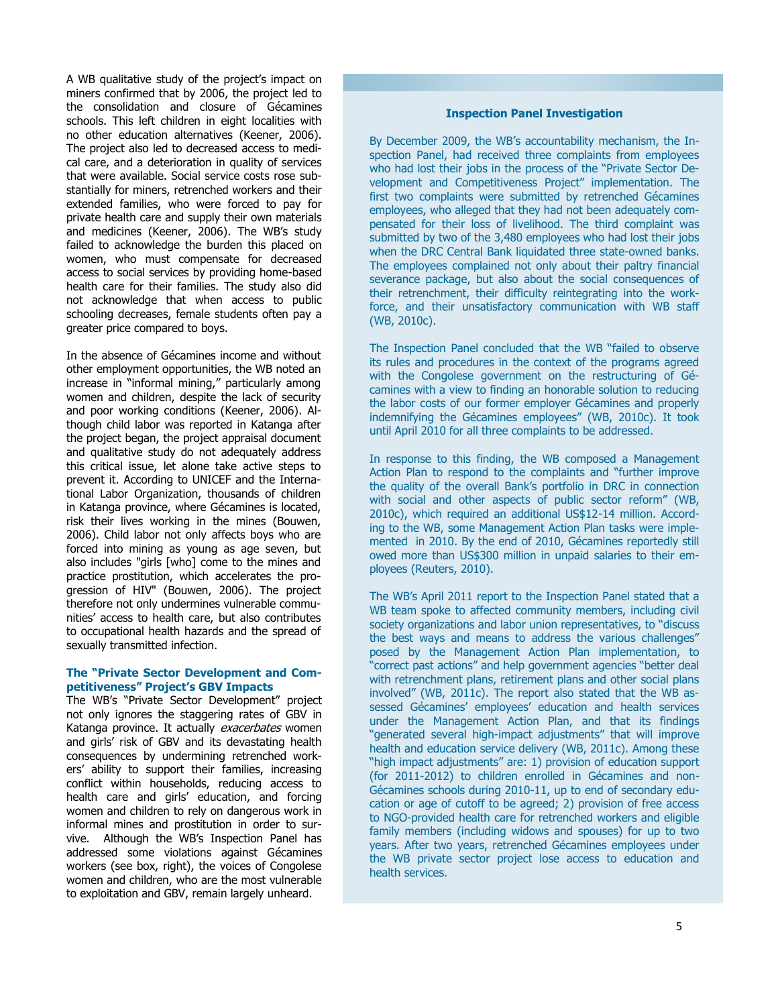A WB qualitative study of the project's impact on miners confirmed that by 2006, the project led to the consolidation and closure of Gécamines schools. This left children in eight localities with no other education alternatives (Keener, 2006). The project also led to decreased access to medical care, and a deterioration in quality of services that were available. Social service costs rose substantially for miners, retrenched workers and their extended families, who were forced to pay for private health care and supply their own materials and medicines (Keener, 2006). The WB's study failed to acknowledge the burden this placed on women, who must compensate for decreased access to social services by providing home-based health care for their families. The study also did not acknowledge that when access to public schooling decreases, female students often pay a greater price compared to boys.

the project began, the project appraisal document In the absence of Gécamines income and without other employment opportunities, the WB noted an increase in "informal mining," particularly among women and children, despite the lack of security and poor working conditions (Keener, 2006). Although child labor was reported in Katanga after and qualitative study do not adequately address this critical issue, let alone take active steps to prevent it. According to UNICEF and the International Labor Organization, thousands of children in Katanga province, where Gécamines is located, risk their lives working in the mines (Bouwen, 2006). Child labor not only affects boys who are forced into mining as young as age seven, but also includes "girls [who] come to the mines and practice prostitution, which accelerates the progression of HIV" (Bouwen, 2006). The project therefore not only undermines vulnerable communities" access to health care, but also contributes to occupational health hazards and the spread of sexually transmitted infection.

#### **The "Private Sector Development and Competitiveness" Project"s GBV Impacts**

The WB"s "Private Sector Development" project not only ignores the staggering rates of GBV in Katanga province. It actually exacerbates women and girls" risk of GBV and its devastating health consequences by undermining retrenched workers" ability to support their families, increasing conflict within households, reducing access to health care and girls' education, and forcing women and children to rely on dangerous work in informal mines and prostitution in order to survive. Although the WB"s Inspection Panel has addressed some violations against Gécamines workers (see box, right), the voices of Congolese women and children, who are the most vulnerable to exploitation and GBV, remain largely unheard.

#### **Inspection Panel Investigation**

By December 2009, the WB's accountability mechanism, the Inspection Panel, had received three complaints from employees who had lost their jobs in the process of the "Private Sector Development and Competitiveness Project" implementation. The first two complaints were submitted by retrenched Gécamines employees, who alleged that they had not been adequately compensated for their loss of livelihood. The third complaint was submitted by two of the 3,480 employees who had lost their jobs when the DRC Central Bank liquidated three state-owned banks. The employees complained not only about their paltry financial severance package, but also about the social consequences of their retrenchment, their difficulty reintegrating into the workforce, and their unsatisfactory communication with WB staff (WB, 2010c).

The Inspection Panel concluded that the WB "failed to observe its rules and procedures in the context of the programs agreed with the Congolese government on the restructuring of Gécamines with a view to finding an honorable solution to reducing the labor costs of our former employer Gécamines and properly indemnifying the Gécamines employees" (WB, 2010c). It took until April 2010 for all three complaints to be addressed.

In response to this finding, the WB composed a Management Action Plan to respond to the complaints and "further improve the quality of the overall Bank"s portfolio in DRC in connection with social and other aspects of public sector reform" (WB, 2010c), which required an additional US\$12-14 million. According to the WB, some Management Action Plan tasks were implemented in 2010. By the end of 2010, Gécamines reportedly still owed more than US\$300 million in unpaid salaries to their employees (Reuters, 2010).

The WB"s April 2011 report to the Inspection Panel stated that a WB team spoke to affected community members, including civil society organizations and labor union representatives, to "discuss the best ways and means to address the various challenges" posed by the Management Action Plan implementation, to "correct past actions" and help government agencies "better deal with retrenchment plans, retirement plans and other social plans involved" (WB, 2011c). The report also stated that the WB assessed Gécamines' employees' education and health services under the Management Action Plan, and that its findings "generated several high-impact adjustments" that will improve health and education service delivery (WB, 2011c). Among these "high impact adjustments" are: 1) provision of education support (for 2011-2012) to children enrolled in Gécamines and non-Gécamines schools during 2010-11, up to end of secondary education or age of cutoff to be agreed; 2) provision of free access to NGO-provided health care for retrenched workers and eligible family members (including widows and spouses) for up to two years. After two years, retrenched Gécamines employees under the WB private sector project lose access to education and health services.